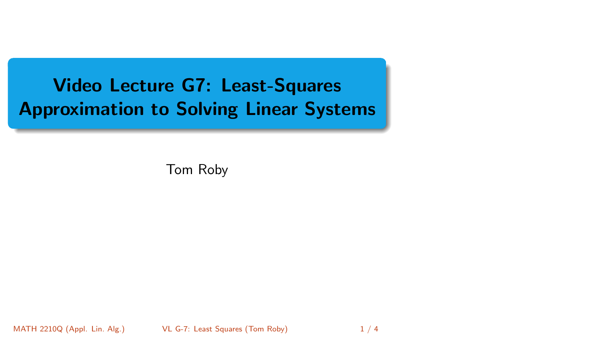<span id="page-0-0"></span>Video Lecture G7: Least-Squares Approximation to Solving Linear Systems

Tom Roby

MATH 2210Q (Appl. Lin. Alg.) [VL G-7: Least Squares](#page-3-0) (Tom Roby) 1/4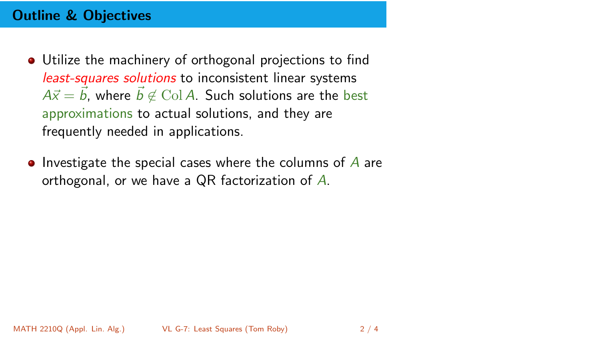# Outline & Objectives

- Utilize the machinery of orthogonal projections to find least-squares solutions to inconsistent linear systems  $A\vec{x} = \vec{b}$ , where  $\vec{b} \notin$  Col A. Such solutions are the best approximations to actual solutions, and they are frequently needed in applications.
- Investigate the special cases where the columns of  $\overline{A}$  are orthogonal, or we have a QR factorization of A.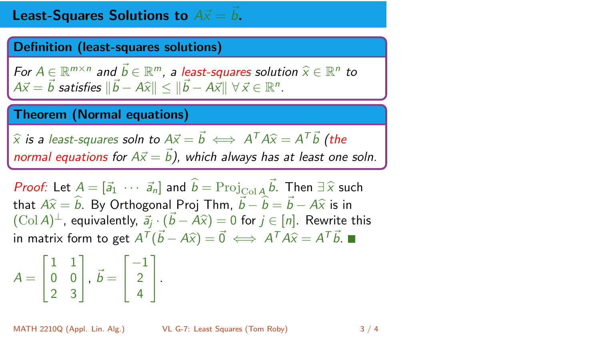# **Least-Squares Solutions to**  $A\vec{x} = \vec{b}$ .

#### Definition (least-squares solutions)

For  $A \in \mathbb{R}^{m \times n}$  and  $\vec{b} \in \mathbb{R}^m$ , a least-squares solution  $\widehat{x} \in \mathbb{R}^n$  to  $A \vec{b} - \vec{b}$  catisfies  $\|\vec{b} - A \widehat{b}\| < \|\vec{b} - A \widehat{b}\|$  $A\vec{x} = \vec{b}$  satisfies  $\|\vec{b} - A\widehat{x}\| \le \|\vec{b} - A\vec{x}\| \ \forall \vec{x} \in \mathbb{R}^n$ .

### Theorem (Normal equations)

 $\hat{x}$  is a least-squares soln to  $A\vec{x} = \vec{b} \iff A^T A \hat{x} = A^T \vec{b}$  (the normal equations for  $A\vec{x} = \vec{b}$ ), which always has at least one soln.

Proof: Let  $A = [\vec{a}_1 \cdots \vec{a}_n]$  and  $\hat{b} = \text{Proj}_{\text{ColA}} \vec{b}$ . Then  $\exists \hat{x}$  such that  $A \hat{\omega} = \hat{b}$ . By Orthogonal Drai Then  $\vec{b} = \hat{b}$ ,  $\vec{b} = A \hat{\omega}$  is in that  $A\hat{x} = \hat{b}$ . By Orthogonal Proj Thm,  $\vec{b} - \hat{b} = \vec{b} - A\hat{x}$  is in  $(\text{Col } A)^{\perp}$ , equivalently,  $\vec{a}_j \cdot (\vec{b} - \vec{A} \hat{x}) = 0$  for  $j \in [n]$ . Rewrite this in matrix form to get  $A^{\mathsf{T}}(\vec{b} - A\hat{x}) = \vec{0} \iff A^{\mathsf{T}} A \hat{x} = A^{\mathsf{T}} \vec{b}.$ 

$$
A = \begin{bmatrix} 1 & 1 \\ 0 & 0 \\ 2 & 3 \end{bmatrix}, \ \vec{b} = \begin{bmatrix} -1 \\ 2 \\ 4 \end{bmatrix}.
$$

MATH 2210Q (Appl. Lin. Alg.) [VL G-7: Least Squares](#page-0-0) (Tom Roby) 3 / 4